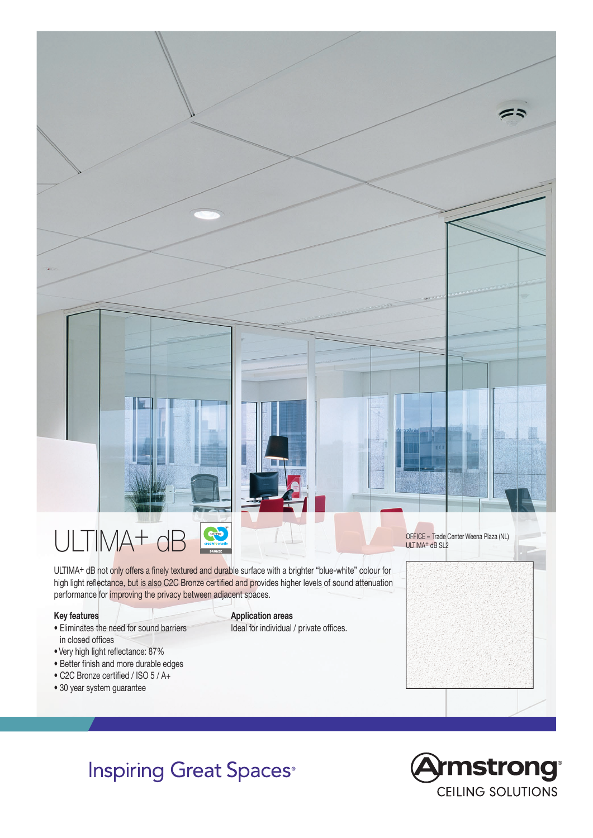

**Inspiring Great Spaces®**